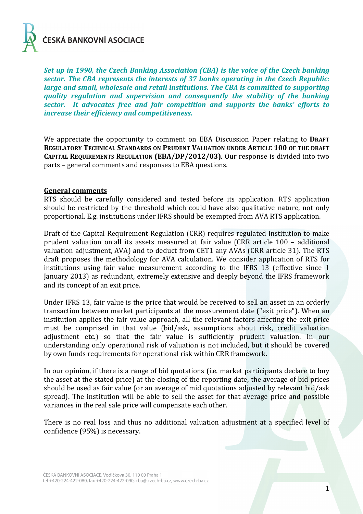

*Set up in 1990, the Czech Banking Association (CBA) is the voice of the Czech banking sector. The CBA represents the interests of 37 banks operating in the Czech Republic: large and small, wholesale and retail institutions. The CBA is committed to supporting quality regulation and supervision and consequently the stability of the banking sector. It advocates free and fair competition and supports the banks' efforts to increase their efficiency and competitiveness.* 

We appreciate the opportunity to comment on EBA Discussion Paper relating to **DRAFT REGULATORY TECHNICAL STANDARDS ON PRUDENT VALUATION UNDER ARTICLE 100 OF THE DRAFT CAPITAL REQUIREMENTS REGULATION (EBA/DP/2012/03)**. Our response is divided into two parts – general comments and responses to EBA questions.

#### **General comments**

RTS should be carefully considered and tested before its application. RTS application should be restricted by the threshold which could have also qualitative nature, not only proportional. E.g. institutions under IFRS should be exempted from AVA RTS application.

Draft of the Capital Requirement Regulation (CRR) requires regulated institution to make prudent valuation on all its assets measured at fair value (CRR article 100 – additional valuation adjustment, AVA) and to deduct from CET1 any AVAs (CRR article 31). The RTS draft proposes the methodology for AVA calculation. We consider application of RTS for institutions using fair value measurement according to the IFRS 13 (effective since 1 January 2013) as redundant, extremely extensive and deeply beyond the IFRS framework and its concept of an exit price.

Under IFRS 13, fair value is the price that would be received to sell an asset in an orderly transaction between market participants at the measurement date ("exit price"). When an institution applies the fair value approach, all the relevant factors affecting the exit price must be comprised in that value (bid/ask, assumptions about risk, credit valuation adjustment etc.) so that the fair value is sufficiently prudent valuation. In our understanding only operational risk of valuation is not included, but it should be covered by own funds requirements for operational risk within CRR framework.

In our opinion, if there is a range of bid quotations (i.e. market participants declare to buy the asset at the stated price) at the closing of the reporting date, the average of bid prices should be used as fair value (or an average of mid quotations adjusted by relevant bid/ask spread). The institution will be able to sell the asset for that average price and possible variances in the real sale price will compensate each other.

There is no real loss and thus no additional valuation adjustment at a specified level of confidence (95%) is necessary.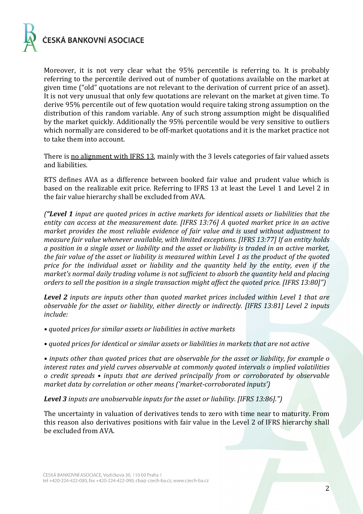

Moreover, it is not very clear what the 95% percentile is referring to. It is probably referring to the percentile derived out of number of quotations available on the market at given time ("old" quotations are not relevant to the derivation of current price of an asset). It is not very unusual that only few quotations are relevant on the market at given time. To derive 95% percentile out of few quotation would require taking strong assumption on the distribution of this random variable. Any of such strong assumption might be disqualified by the market quickly. Additionally the 95% percentile would be very sensitive to outliers which normally are considered to be off-market quotations and it is the market practice not to take them into account.

There is no alignment with IFRS 13, mainly with the 3 levels categories of fair valued assets and liabilities.

RTS defines AVA as a difference between booked fair value and prudent value which is based on the realizable exit price. Referring to IFRS 13 at least the Level 1 and Level 2 in the fair value hierarchy shall be excluded from AVA.

*("Level 1 input are quoted prices in active markets for identical assets or liabilities that the entity can access at the measurement date. [IFRS 13:76] A quoted market price in an active market provides the most reliable evidence of fair value and is used without adjustment to measure fair value whenever available, with limited exceptions. [IFRS 13:77] If an entity holds a position in a single asset or liability and the asset or liability is traded in an active market, the fair value of the asset or liability is measured within Level 1 as the product of the quoted price for the individual asset or liability and the quantity held by the entity, even if the market's normal daily trading volume is not sufficient to absorb the quantity held and placing orders to sell the position in a single transaction might affect the quoted price. [IFRS 13:80]")* 

*Level 2 inputs are inputs other than quoted market prices included within Level 1 that are observable for the asset or liability, either directly or indirectly. [IFRS 13:81] Level 2 inputs include:* 

- *quoted prices for similar assets or liabilities in active markets*
- *quoted prices for identical or similar assets or liabilities in markets that are not active*

*• inputs other than quoted prices that are observable for the asset or liability, for example o interest rates and yield curves observable at commonly quoted intervals o implied volatilities o credit spreads • inputs that are derived principally from or corroborated by observable market data by correlation or other means ('market-corroborated inputs')* 

*Level 3 inputs are unobservable inputs for the asset or liability. [IFRS 13:86].")* 

The uncertainty in valuation of derivatives tends to zero with time near to maturity. From this reason also derivatives positions with fair value in the Level 2 of IFRS hierarchy shall be excluded from AVA.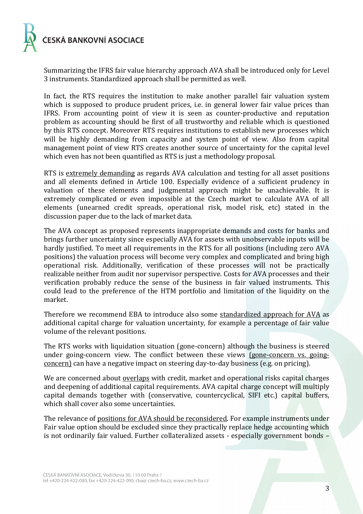

Summarizing the IFRS fair value hierarchy approach AVA shall be introduced only for Level 3 instruments. Standardized approach shall be permitted as well.

In fact, the RTS requires the institution to make another parallel fair valuation system which is supposed to produce prudent prices, i.e. in general lower fair value prices than IFRS. From accounting point of view it is seen as counter-productive and reputation problem as accounting should be first of all trustworthy and reliable which is questioned by this RTS concept. Moreover RTS requires institutions to establish new processes which will be highly demanding from capacity and system point of view. Also from capital management point of view RTS creates another source of uncertainty for the capital level which even has not been quantified as RTS is just a methodology proposal.

RTS is extremely demanding as regards AVA calculation and testing for all asset positions and all elements defined in Article 100. Especially evidence of a sufficient prudency in valuation of these elements and judgmental approach might be unachievable. It is extremely complicated or even impossible at the Czech market to calculate AVA of all elements (unearned credit spreads, operational risk, model risk, etc) stated in the discussion paper due to the lack of market data.

The AVA concept as proposed represents inappropriate demands and costs for banks and brings further uncertainty since especially AVA for assets with unobservable inputs will be hardly justified. To meet all requirements in the RTS for all positions (including zero AVA positions) the valuation process will become very complex and complicated and bring high operational risk. Additionally, verification of these processes will not be practically realizable neither from audit nor supervisor perspective. Costs for AVA processes and their verification probably reduce the sense of the business in fair valued instruments. This could lead to the preference of the HTM portfolio and limitation of the liquidity on the market.

Therefore we recommend EBA to introduce also some standardized approach for AVA as additional capital charge for valuation uncertainty, for example a percentage of fair value volume of the relevant positions.

The RTS works with liquidation situation (gone-concern) although the business is steered under going-concern view. The conflict between these views (gone-concern vs. goingconcern) can have a negative impact on steering day-to-day business (e.g. on pricing).

We are concerned about overlaps with credit, market and operational risks capital charges and deepening of additional capital requirements. AVA capital charge concept will multiply capital demands together with (conservative, countercyclical, SIFI etc.) capital buffers, which shall cover also some uncertainties.

The relevance of positions for AVA should be reconsidered. For example instruments under Fair value option should be excluded since they practically replace hedge accounting which is not ordinarily fair valued. Further collateralized assets - especially government bonds –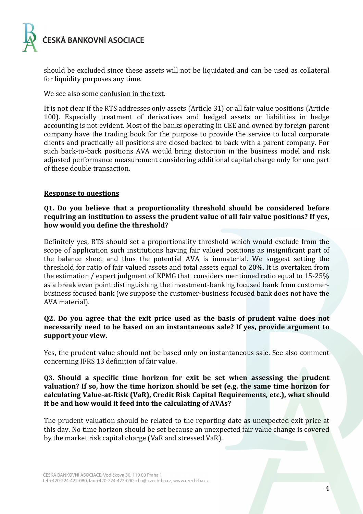

should be excluded since these assets will not be liquidated and can be used as collateral for liquidity purposes any time.

We see also some confusion in the text.

It is not clear if the RTS addresses only assets (Article 31) or all fair value positions (Article 100). Especially treatment of derivatives and hedged assets or liabilities in hedge accounting is not evident. Most of the banks operating in CEE and owned by foreign parent company have the trading book for the purpose to provide the service to local corporate clients and practically all positions are closed backed to back with a parent company. For such back-to-back positions AVA would bring distortion in the business model and risk adjusted performance measurement considering additional capital charge only for one part of these double transaction.

#### **Response to questions**

# **Q1. Do you believe that a proportionality threshold should be considered before requiring an institution to assess the prudent value of all fair value positions? If yes, how would you define the threshold?**

Definitely yes, RTS should set a proportionality threshold which would exclude from the scope of application such institutions having fair valued positions as insignificant part of the balance sheet and thus the potential AVA is immaterial. We suggest setting the threshold for ratio of fair valued assets and total assets equal to 20%. It is overtaken from the estimation / expert judgment of KPMG that considers mentioned ratio equal to 15-25% as a break even point distinguishing the investment-banking focused bank from customerbusiness focused bank (we suppose the customer-business focused bank does not have the AVA material).

### **Q2. Do you agree that the exit price used as the basis of prudent value does not necessarily need to be based on an instantaneous sale? If yes, provide argument to support your view.**

Yes, the prudent value should not be based only on instantaneous sale. See also comment concerning IFRS 13 definition of fair value.

### **Q3. Should a specific time horizon for exit be set when assessing the prudent valuation? If so, how the time horizon should be set (e.g. the same time horizon for calculating Value-at-Risk (VaR), Credit Risk Capital Requirements, etc.), what should it be and how would it feed into the calculating of AVAs?**

The prudent valuation should be related to the reporting date as unexpected exit price at this day. No time horizon should be set because an unexpected fair value change is covered by the market risk capital charge (VaR and stressed VaR).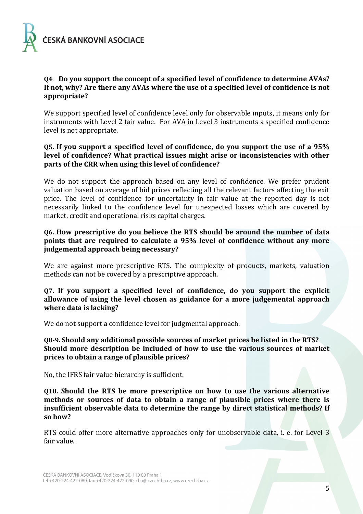

# **Q4**. **Do you support the concept of a specified level of confidence to determine AVAs? If not, why? Are there any AVAs where the use of a specified level of confidence is not appropriate?**

We support specified level of confidence level only for observable inputs, it means only for instruments with Level 2 fair value. For AVA in Level 3 instruments a specified confidence level is not appropriate.

# **Q5. If you support a specified level of confidence, do you support the use of a 95% level of confidence? What practical issues might arise or inconsistencies with other parts of the CRR when using this level of confidence?**

We do not support the approach based on any level of confidence. We prefer prudent valuation based on average of bid prices reflecting all the relevant factors affecting the exit price. The level of confidence for uncertainty in fair value at the reported day is not necessarily linked to the confidence level for unexpected losses which are covered by market, credit and operational risks capital charges.

# **Q6. How prescriptive do you believe the RTS should be around the number of data points that are required to calculate a 95% level of confidence without any more judgemental approach being necessary?**

We are against more prescriptive RTS. The complexity of products, markets, valuation methods can not be covered by a prescriptive approach.

**Q7. If you support a specified level of confidence, do you support the explicit allowance of using the level chosen as guidance for a more judgemental approach where data is lacking?**

We do not support a confidence level for judgmental approach.

**Q8-9. Should any additional possible sources of market prices be listed in the RTS? Should more description be included of how to use the various sources of market prices to obtain a range of plausible prices?** 

No, the IFRS fair value hierarchy is sufficient.

**Q10. Should the RTS be more prescriptive on how to use the various alternative methods or sources of data to obtain a range of plausible prices where there is insufficient observable data to determine the range by direct statistical methods? If so how?**

RTS could offer more alternative approaches only for unobservable data, i. e. for Level 3 fair value.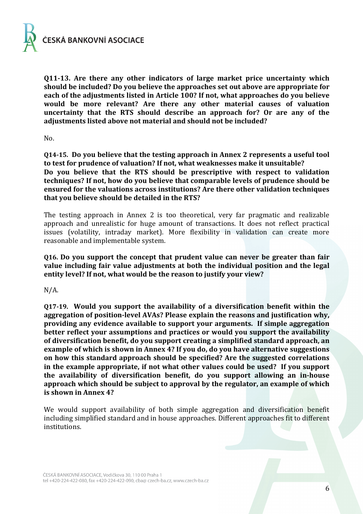

**Q11-13. Are there any other indicators of large market price uncertainty which should be included? Do you believe the approaches set out above are appropriate for each of the adjustments listed in Article 100? If not, what approaches do you believe would be more relevant? Are there any other material causes of valuation uncertainty that the RTS should describe an approach for? Or are any of the adjustments listed above not material and should not be included?** 

No.

**Q14-15. Do you believe that the testing approach in Annex 2 represents a useful tool to test for prudence of valuation? If not, what weaknesses make it unsuitable? Do you believe that the RTS should be prescriptive with respect to validation techniques? If not, how do you believe that comparable levels of prudence should be ensured for the valuations across institutions? Are there other validation techniques that you believe should be detailed in the RTS?** 

The testing approach in Annex 2 is too theoretical, very far pragmatic and realizable approach and unrealistic for huge amount of transactions. It does not reflect practical issues (volatility, intraday market). More flexibility in validation can create more reasonable and implementable system.

**Q16. Do you support the concept that prudent value can never be greater than fair value including fair value adjustments at both the individual position and the legal entity level? If not, what would be the reason to justify your view?**

 $N/A$ .

**Q17-19. Would you support the availability of a diversification benefit within the aggregation of position-level AVAs? Please explain the reasons and justification why, providing any evidence available to support your arguments. If simple aggregation better reflect your assumptions and practices or would you support the availability of diversification benefit, do you support creating a simplified standard approach, an example of which is shown in Annex 4? If you do, do you have alternative suggestions on how this standard approach should be specified? Are the suggested correlations in the example appropriate, if not what other values could be used? If you support the availability of diversification benefit, do you support allowing an in-house approach which should be subject to approval by the regulator, an example of which is shown in Annex 4?** 

We would support availability of both simple aggregation and diversification benefit including simplified standard and in house approaches. Different approaches fit to different institutions.